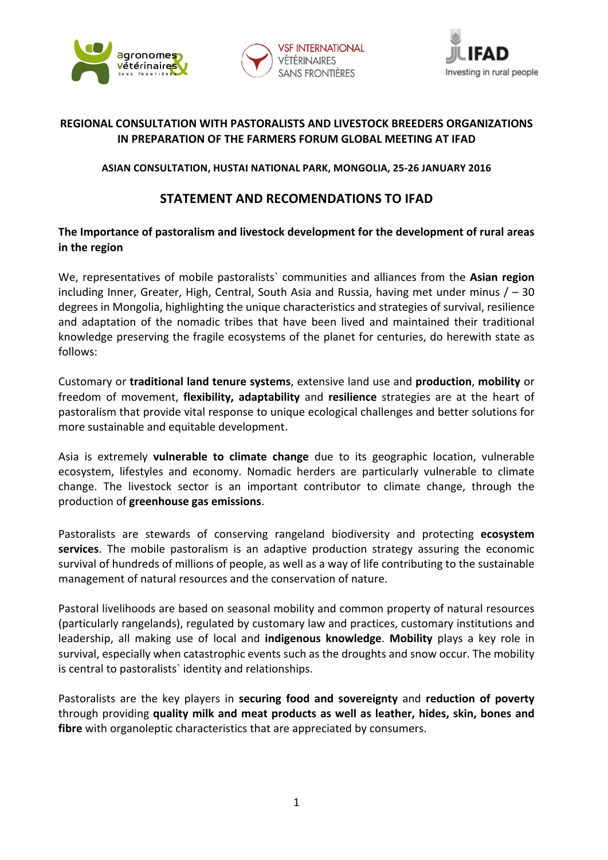





## **REGIONAL CONSULTATION WITH PASTORALISTS AND LIVESTOCK BREEDERS ORGANIZATIONS IN PREPARATION OF THE FARMERS FORUM GLOBAL MEETING AT IFAD**

### **ASIAN CONSULTATION, HUSTAI NATIONAL PARK, MONGOLIA, 25-26 JANUARY 2016**

# **STATEMENT AND RECOMENDATIONS TO IFAD**

# The Importance of pastoralism and livestock development for the development of rural areas **in the region**

We, representatives of mobile pastoralists` communities and alliances from the **Asian region** including Inner, Greater, High, Central, South Asia and Russia, having met under minus  $/ -30$ degrees in Mongolia, highlighting the unique characteristics and strategies of survival, resilience and adaptation of the nomadic tribes that have been lived and maintained their traditional knowledge preserving the fragile ecosystems of the planet for centuries, do herewith state as follows: 

Customary or **traditional land tenure systems**, extensive land use and **production**, **mobility** or freedom of movement, **flexibility, adaptability** and **resilience** strategies are at the heart of pastoralism that provide vital response to unique ecological challenges and better solutions for more sustainable and equitable development.

Asia is extremely **vulnerable to climate change** due to its geographic location, vulnerable ecosystem, lifestyles and economy. Nomadic herders are particularly vulnerable to climate change. The livestock sector is an important contributor to climate change, through the production of **greenhouse gas emissions**. 

Pastoralists are stewards of conserving rangeland biodiversity and protecting ecosystem **services**. The mobile pastoralism is an adaptive production strategy assuring the economic survival of hundreds of millions of people, as well as a way of life contributing to the sustainable management of natural resources and the conservation of nature.

Pastoral livelihoods are based on seasonal mobility and common property of natural resources (particularly rangelands), regulated by customary law and practices, customary institutions and leadership, all making use of local and **indigenous knowledge. Mobility** plays a key role in survival, especially when catastrophic events such as the droughts and snow occur. The mobility is central to pastoralists' identity and relationships.

Pastoralists are the key players in **securing food and sovereignty** and **reduction of poverty** through providing **quality milk and meat products as well as leather, hides, skin, bones and fibre** with organoleptic characteristics that are appreciated by consumers.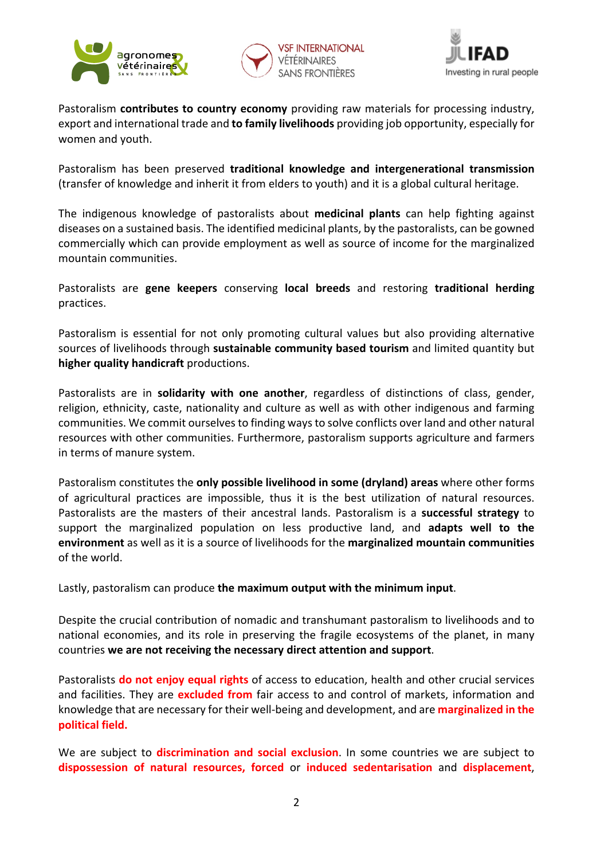





Pastoralism **contributes to country economy** providing raw materials for processing industry, export and international trade and **to family livelihoods** providing job opportunity, especially for women and youth.

Pastoralism has been preserved traditional knowledge and intergenerational transmission (transfer of knowledge and inherit it from elders to youth) and it is a global cultural heritage.

The indigenous knowledge of pastoralists about **medicinal plants** can help fighting against diseases on a sustained basis. The identified medicinal plants, by the pastoralists, can be gowned commercially which can provide employment as well as source of income for the marginalized mountain communities.

Pastoralists are **gene keepers** conserving **local breeds** and restoring **traditional herding** practices. 

Pastoralism is essential for not only promoting cultural values but also providing alternative sources of livelihoods through **sustainable community based tourism** and limited quantity but **higher quality handicraft** productions.

Pastoralists are in **solidarity with one another**, regardless of distinctions of class, gender, religion, ethnicity, caste, nationality and culture as well as with other indigenous and farming communities. We commit ourselves to finding ways to solve conflicts over land and other natural resources with other communities. Furthermore, pastoralism supports agriculture and farmers in terms of manure system.

Pastoralism constitutes the **only possible livelihood in some (dryland) areas** where other forms of agricultural practices are impossible, thus it is the best utilization of natural resources. Pastoralists are the masters of their ancestral lands. Pastoralism is a **successful strategy** to support the marginalized population on less productive land, and **adapts well to the environment** as well as it is a source of livelihoods for the marginalized mountain communities of the world.

Lastly, pastoralism can produce the maximum output with the minimum input.

Despite the crucial contribution of nomadic and transhumant pastoralism to livelihoods and to national economies, and its role in preserving the fragile ecosystems of the planet, in many countries we are not receiving the necessary direct attention and support.

Pastoralists **do not enjoy equal rights** of access to education, health and other crucial services and facilities. They are **excluded from** fair access to and control of markets, information and knowledge that are necessary for their well-being and development, and are **marginalized in the political field.**

We are subject to **discrimination and social exclusion**. In some countries we are subject to **dispossession of natural resources, forced**  or **induced sedentarisation**  and **displacement**,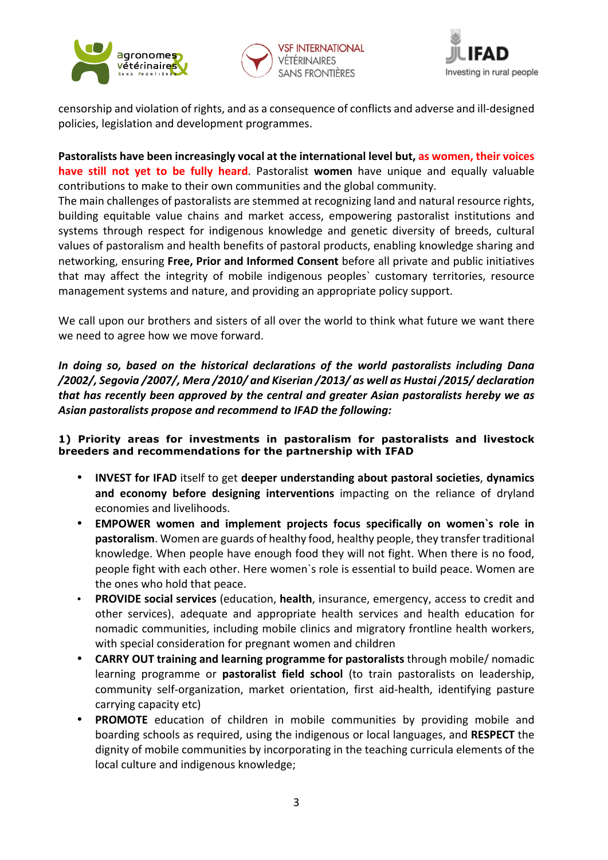





censorship and violation of rights, and as a consequence of conflicts and adverse and ill-designed policies, legislation and development programmes.

Pastoralists have been increasingly vocal at the international level but, as women, their voices **have still not yet to be fully heard**. Pastoralist women have unique and equally valuable contributions to make to their own communities and the global community.

The main challenges of pastoralists are stemmed at recognizing land and natural resource rights, building equitable value chains and market access, empowering pastoralist institutions and systems through respect for indigenous knowledge and genetic diversity of breeds, cultural values of pastoralism and health benefits of pastoral products, enabling knowledge sharing and networking, ensuring **Free, Prior and Informed Consent** before all private and public initiatives that may affect the integrity of mobile indigenous peoples' customary territories, resource management systems and nature, and providing an appropriate policy support.

We call upon our brothers and sisters of all over the world to think what future we want there we need to agree how we move forward.

*In doing so, based on the historical declarations of the world pastoralists including Dana* /2002/, Segovia /2007/, Mera /2010/ and Kiserian /2013/ as well as Hustai /2015/ declaration *that has recently been approved by the central and greater Asian pastoralists hereby we as* Asian pastoralists propose and recommend to IFAD the following:

## **1) Priority areas for investments in pastoralism for pastoralists and livestock breeders and recommendations for the partnership with IFAD**

- **INVEST** for IFAD itself to get deeper understanding about pastoral societies, dynamics and economy before designing interventions impacting on the reliance of dryland economies and livelihoods.
- **EMPOWER** women and implement projects focus specifically on women's role in **pastoralism**. Women are guards of healthy food, healthy people, they transfer traditional knowledge. When people have enough food they will not fight. When there is no food, people fight with each other. Here women's role is essential to build peace. Women are the ones who hold that peace.
- **PROVIDE social services** (education, **health**, insurance, emergency, access to credit and other services), adequate and appropriate health services and health education for nomadic communities, including mobile clinics and migratory frontline health workers, with special consideration for pregnant women and children
- **CARRY OUT training and learning programme for pastoralists** through mobile/ nomadic learning programme or **pastoralist field school** (to train pastoralists on leadership, community self-organization, market orientation, first aid-health, identifying pasture carrying capacity etc)
- **PROMOTE** education of children in mobile communities by providing mobile and boarding schools as required, using the indigenous or local languages, and **RESPECT** the dignity of mobile communities by incorporating in the teaching curricula elements of the local culture and indigenous knowledge;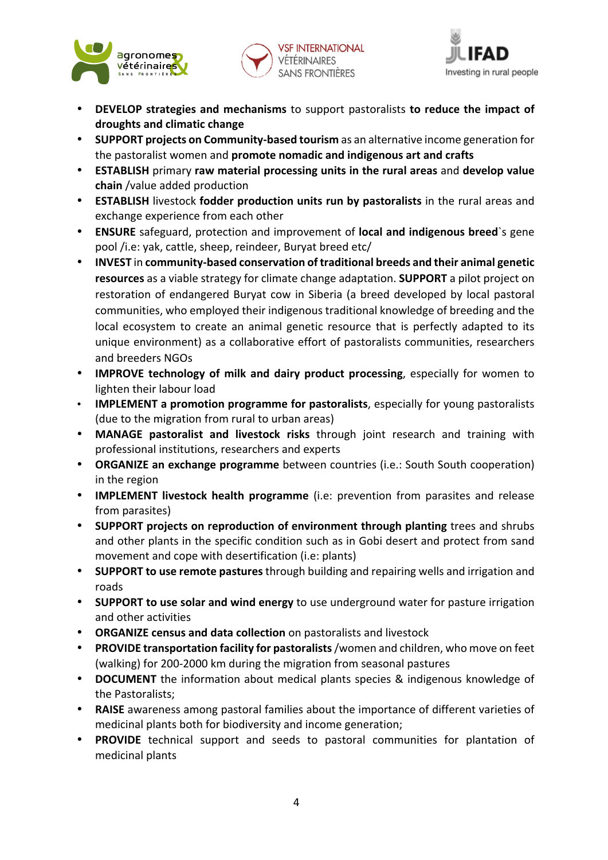





- **DEVELOP** strategies and mechanisms to support pastoralists to reduce the impact of **droughts and climatic change**
- SUPPORT projects on Community-based tourism as an alternative income generation for the pastoralist women and **promote nomadic and indigenous art and crafts**
- **ESTABLISH** primary raw material processing units in the rural areas and develop value **chain** /value added production
- **ESTABLISH** livestock **fodder production units run by pastoralists** in the rural areas and exchange experience from each other
- **ENSURE** safeguard, protection and improvement of local and indigenous breed`s gene pool /i.e: yak, cattle, sheep, reindeer, Buryat breed etc/
- **INVEST** in community-based conservation of traditional breeds and their animal genetic **resources** as a viable strategy for climate change adaptation. **SUPPORT** a pilot project on restoration of endangered Buryat cow in Siberia (a breed developed by local pastoral communities, who employed their indigenous traditional knowledge of breeding and the local ecosystem to create an animal genetic resource that is perfectly adapted to its unique environment) as a collaborative effort of pastoralists communities, researchers and breeders NGOs
- **IMPROVE technology of milk and dairy product processing**, especially for women to lighten their labour load
- **IMPLEMENT** a promotion programme for pastoralists, especially for young pastoralists (due to the migration from rural to urban areas)
- **MANAGE** pastoralist and livestock risks through joint research and training with professional institutions, researchers and experts
- **ORGANIZE** an exchange programme between countries (i.e.: South South cooperation) in the region
- **IMPLEMENT livestock health programme** (i.e: prevention from parasites and release from parasites)
- **SUPPORT** projects on reproduction of environment through planting trees and shrubs and other plants in the specific condition such as in Gobi desert and protect from sand movement and cope with desertification (i.e: plants)
- **SUPPORT to use remote pastures** through building and repairing wells and irrigation and roads
- SUPPORT to use solar and wind energy to use underground water for pasture irrigation and other activities
- **ORGANIZE census and data collection** on pastoralists and livestock
- **PROVIDE transportation facility for pastoralists** /women and children, who move on feet (walking) for 200-2000 km during the migration from seasonal pastures
- **DOCUMENT** the information about medical plants species & indigenous knowledge of the Pastoralists;
- **RAISE** awareness among pastoral families about the importance of different varieties of medicinal plants both for biodiversity and income generation;
- **PROVIDE** technical support and seeds to pastoral communities for plantation of medicinal plants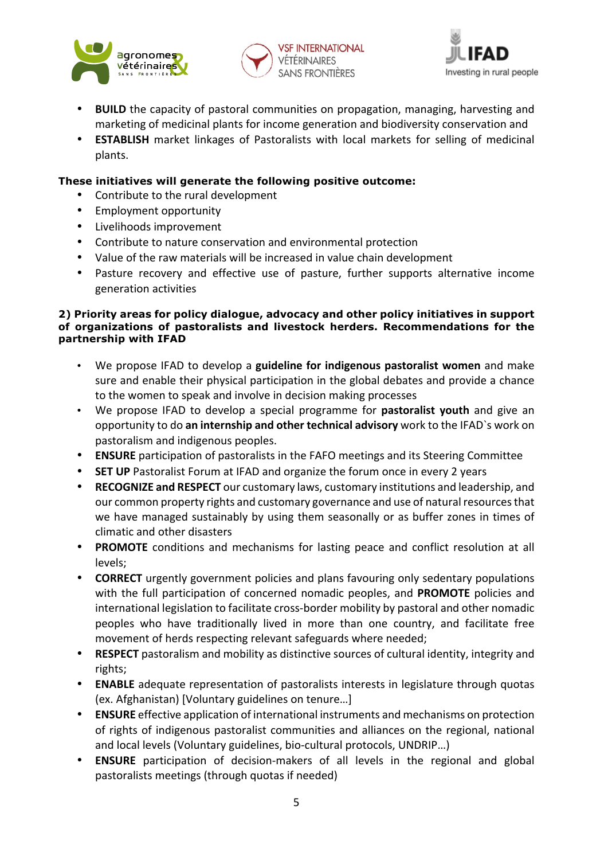





- **BUILD** the capacity of pastoral communities on propagation, managing, harvesting and marketing of medicinal plants for income generation and biodiversity conservation and
- **ESTABLISH** market linkages of Pastoralists with local markets for selling of medicinal plants.

## **These initiatives will generate the following positive outcome:**

- Contribute to the rural development
- Employment opportunity
- Livelihoods improvement
- Contribute to nature conservation and environmental protection
- Value of the raw materials will be increased in value chain development
- Pasture recovery and effective use of pasture, further supports alternative income generation activities

#### **2) Priority areas for policy dialogue, advocacy and other policy initiatives in support of organizations of pastoralists and livestock herders. Recommendations for the partnership with IFAD**

- We propose IFAD to develop a **guideline for indigenous pastoralist women** and make sure and enable their physical participation in the global debates and provide a chance to the women to speak and involve in decision making processes
- We propose IFAD to develop a special programme for **pastoralist youth** and give an opportunity to do an internship and other technical advisory work to the IFAD's work on pastoralism and indigenous peoples.
- **ENSURE** participation of pastoralists in the FAFO meetings and its Steering Committee
- **SET UP** Pastoralist Forum at IFAD and organize the forum once in every 2 years
- **RECOGNIZE and RESPECT** our customary laws, customary institutions and leadership, and our common property rights and customary governance and use of natural resources that we have managed sustainably by using them seasonally or as buffer zones in times of climatic and other disasters
- **PROMOTE** conditions and mechanisms for lasting peace and conflict resolution at all levels;
- **CORRECT** urgently government policies and plans favouring only sedentary populations with the full participation of concerned nomadic peoples, and **PROMOTE** policies and international legislation to facilitate cross-border mobility by pastoral and other nomadic peoples who have traditionally lived in more than one country, and facilitate free movement of herds respecting relevant safeguards where needed;
- **RESPECT** pastoralism and mobility as distinctive sources of cultural identity, integrity and rights;
- **ENABLE** adequate representation of pastoralists interests in legislature through quotas (ex. Afghanistan) [Voluntary guidelines on tenure…]
- **ENSURE** effective application of international instruments and mechanisms on protection of rights of indigenous pastoralist communities and alliances on the regional, national and local levels (Voluntary guidelines, bio-cultural protocols, UNDRIP...)
- **ENSURE** participation of decision-makers of all levels in the regional and global pastoralists meetings (through quotas if needed)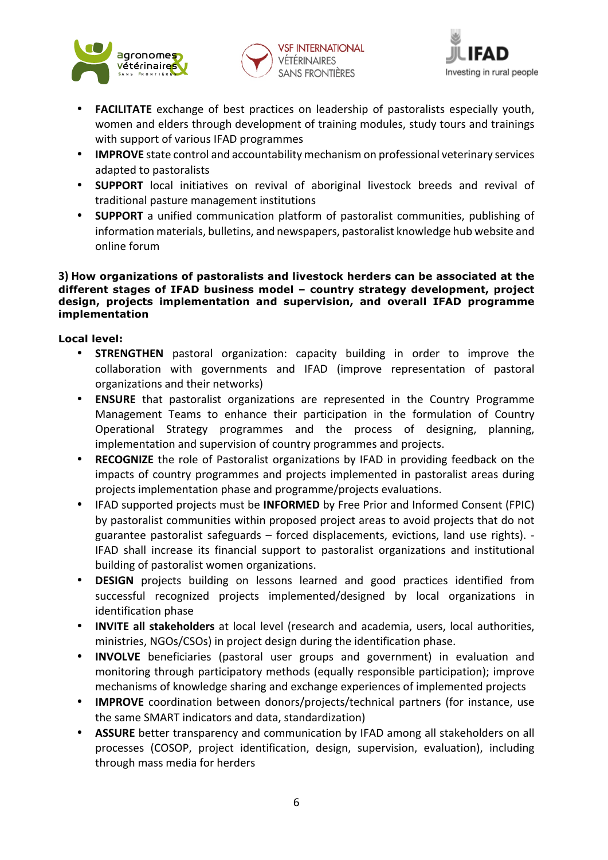





- **FACILITATE** exchange of best practices on leadership of pastoralists especially youth, women and elders through development of training modules, study tours and trainings with support of various IFAD programmes
- **IMPROVE** state control and accountability mechanism on professional veterinary services adapted to pastoralists
- **SUPPORT** local initiatives on revival of aboriginal livestock breeds and revival of traditional pasture management institutions
- **SUPPORT** a unified communication platform of pastoralist communities, publishing of information materials, bulletins, and newspapers, pastoralist knowledge hub website and online forum

#### **3) How organizations of pastoralists and livestock herders can be associated at the different stages of IFAD business model – country strategy development, project design, projects implementation and supervision, and overall IFAD programme implementation**

**Local level:** 

- **STRENGTHEN** pastoral organization: capacity building in order to improve the collaboration with governments and IFAD (improve representation of pastoral organizations and their networks)
- **ENSURE** that pastoralist organizations are represented in the Country Programme Management Teams to enhance their participation in the formulation of Country Operational Strategy programmes and the process of designing, planning, implementation and supervision of country programmes and projects.
- **RECOGNIZE** the role of Pastoralist organizations by IFAD in providing feedback on the impacts of country programmes and projects implemented in pastoralist areas during projects implementation phase and programme/projects evaluations.
- **IFAD** supported projects must be **INFORMED** by Free Prior and Informed Consent (FPIC) by pastoralist communities within proposed project areas to avoid projects that do not guarantee pastoralist safeguards  $-$  forced displacements, evictions, land use rights).  $-$ IFAD shall increase its financial support to pastoralist organizations and institutional building of pastoralist women organizations.
- **DESIGN** projects building on lessons learned and good practices identified from successful recognized projects implemented/designed by local organizations in identification phase
- **INVITE all stakeholders** at local level (research and academia, users, local authorities, ministries, NGOs/CSOs) in project design during the identification phase.
- **INVOLVE** beneficiaries (pastoral user groups and government) in evaluation and monitoring through participatory methods (equally responsible participation); improve mechanisms of knowledge sharing and exchange experiences of implemented projects
- **IMPROVE** coordination between donors/projects/technical partners (for instance, use the same SMART indicators and data, standardization)
- **ASSURE** better transparency and communication by IFAD among all stakeholders on all processes (COSOP, project identification, design, supervision, evaluation), including through mass media for herders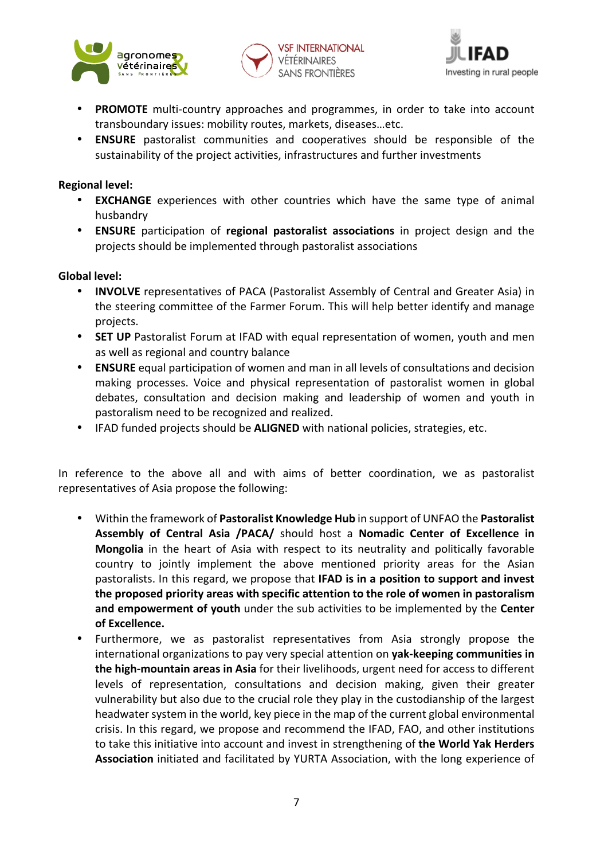





- **PROMOTE** multi-country approaches and programmes, in order to take into account transboundary issues: mobility routes, markets, diseases...etc.
- **ENSURE** pastoralist communities and cooperatives should be responsible of the sustainability of the project activities, infrastructures and further investments

### **Regional level:**

- **EXCHANGE** experiences with other countries which have the same type of animal husbandry
- **ENSURE** participation of **regional pastoralist associations** in project design and the projects should be implemented through pastoralist associations

#### **Global level:**

- **INVOLVE** representatives of PACA (Pastoralist Assembly of Central and Greater Asia) in the steering committee of the Farmer Forum. This will help better identify and manage projects.
- SET UP Pastoralist Forum at IFAD with equal representation of women, youth and men as well as regional and country balance
- **ENSURE** equal participation of women and man in all levels of consultations and decision making processes. Voice and physical representation of pastoralist women in global debates, consultation and decision making and leadership of women and youth in pastoralism need to be recognized and realized.
- **IFAD** funded projects should be **ALIGNED** with national policies, strategies, etc.

In reference to the above all and with aims of better coordination, we as pastoralist representatives of Asia propose the following:

- Within the framework of **Pastoralist Knowledge Hub** in support of UNFAO the **Pastoralist** Assembly of Central Asia /PACA/ should host a Nomadic Center of Excellence in **Mongolia** in the heart of Asia with respect to its neutrality and politically favorable country to jointly implement the above mentioned priority areas for the Asian pastoralists. In this regard, we propose that **IFAD** is in a position to support and invest the proposed priority areas with specific attention to the role of women in pastoralism and empowerment of youth under the sub activities to be implemented by the Center of Excellence.
- Furthermore, we as pastoralist representatives from Asia strongly propose the international organizations to pay very special attention on **yak-keeping communities in the high-mountain areas in Asia** for their livelihoods, urgent need for access to different levels of representation, consultations and decision making, given their greater vulnerability but also due to the crucial role they play in the custodianship of the largest headwater system in the world, key piece in the map of the current global environmental crisis. In this regard, we propose and recommend the IFAD, FAO, and other institutions to take this initiative into account and invest in strengthening of **the World Yak Herders Association** initiated and facilitated by YURTA Association, with the long experience of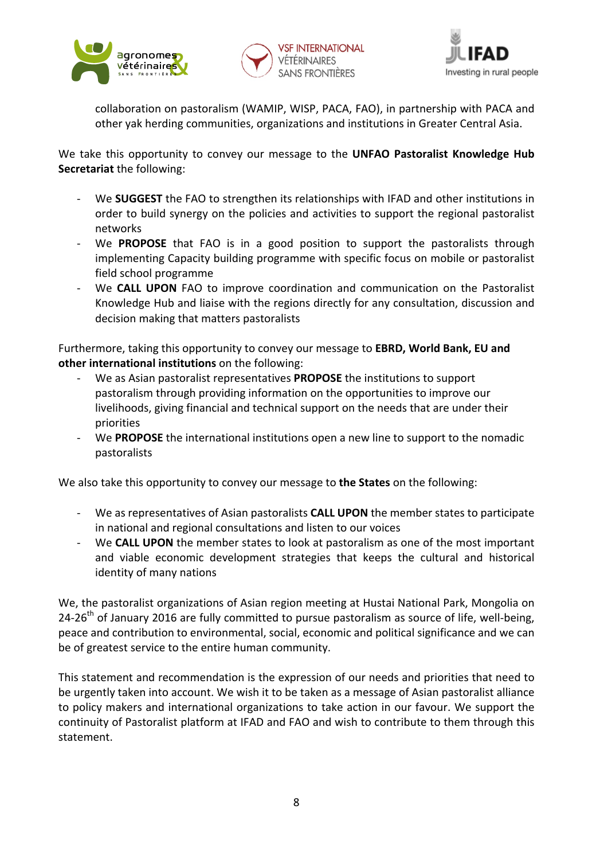





collaboration on pastoralism (WAMIP, WISP, PACA, FAO), in partnership with PACA and other yak herding communities, organizations and institutions in Greater Central Asia.

We take this opportunity to convey our message to the **UNFAO Pastoralist Knowledge Hub Secretariat** the following:

- We **SUGGEST** the FAO to strengthen its relationships with IFAD and other institutions in order to build synergy on the policies and activities to support the regional pastoralist networks
- We **PROPOSE** that FAO is in a good position to support the pastoralists through implementing Capacity building programme with specific focus on mobile or pastoralist field school programme
- We **CALL UPON** FAO to improve coordination and communication on the Pastoralist Knowledge Hub and liaise with the regions directly for any consultation, discussion and decision making that matters pastoralists

Furthermore, taking this opportunity to convey our message to **EBRD, World Bank, EU and other international institutions** on the following:

- We as Asian pastoralist representatives **PROPOSE** the institutions to support pastoralism through providing information on the opportunities to improve our livelihoods, giving financial and technical support on the needs that are under their priorities
- We PROPOSE the international institutions open a new line to support to the nomadic pastoralists

We also take this opportunity to convey our message to **the States** on the following:

- We as representatives of Asian pastoralists **CALL UPON** the member states to participate in national and regional consultations and listen to our voices
- We **CALL UPON** the member states to look at pastoralism as one of the most important and viable economic development strategies that keeps the cultural and historical identity of many nations

We, the pastoralist organizations of Asian region meeting at Hustai National Park, Mongolia on 24-26<sup>th</sup> of January 2016 are fully committed to pursue pastoralism as source of life, well-being, peace and contribution to environmental, social, economic and political significance and we can be of greatest service to the entire human community.

This statement and recommendation is the expression of our needs and priorities that need to be urgently taken into account. We wish it to be taken as a message of Asian pastoralist alliance to policy makers and international organizations to take action in our favour. We support the continuity of Pastoralist platform at IFAD and FAO and wish to contribute to them through this statement.